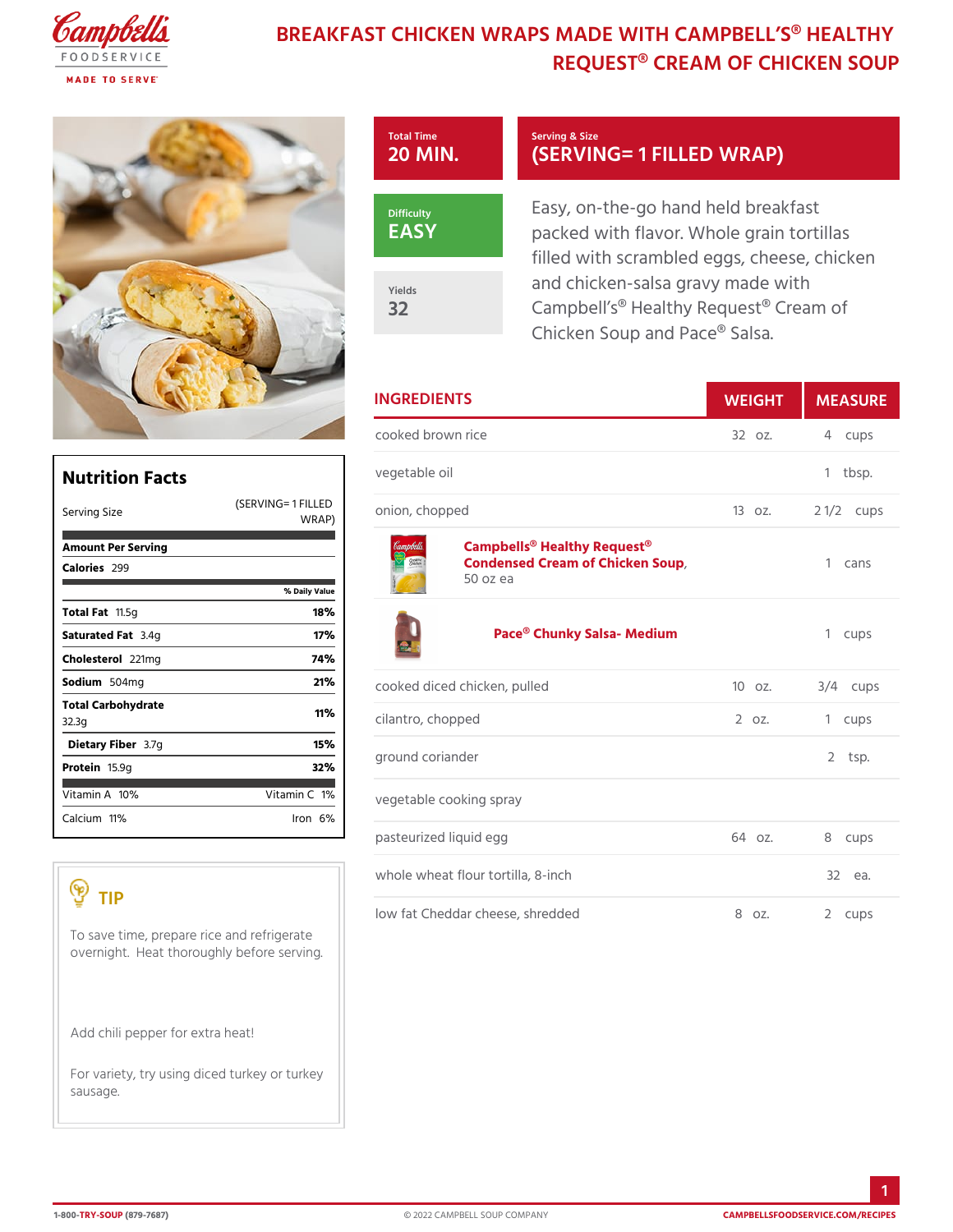## BREAKFAST CHICKEN WRAPS MADE WITH CA REQUEST® CREAM OF CHI



|                                                                                                 |                   | <b>INGREDIENTS</b>                                                                                 | WEIGH    | MEASU        |
|-------------------------------------------------------------------------------------------------|-------------------|----------------------------------------------------------------------------------------------------|----------|--------------|
|                                                                                                 |                   | cooked brown rice                                                                                  | $320Z$ . | 4 cups       |
| <b>Nutrition Facts</b>                                                                          |                   | vegetable oil                                                                                      |          | 1 tbsp.      |
| $(SERVING = 1)$<br>Serving Size                                                                 | W R A P           | FILLED <sub>on, chopped</sub>                                                                      | 130z.    | 2 $1/2c$ ups |
| Amount Per Serving<br>Calorie2s99                                                               | % Daily Value     | Campbells <sup>®</sup> Healthy Request <sup>®</sup><br>Condensed Cream of Chicken Soup<br>50 oz ea |          | 1 cans       |
| Total $Fat.5g$<br>Saturated 3F. atg<br>Choleste <sub>2011</sub> mg                              | 18%<br>17%<br>74% | Pace® Chunky Salsa- Medium                                                                         |          | 1 cups       |
| Sodium 504mg                                                                                    | 21%               | cooked diced chicken, pulled                                                                       | $100z$ . | $3/4$ cups   |
| Total Carbohydrate<br>32.3g                                                                     | 11%               | cilantro, chopped                                                                                  | 2 oz.    | 1 cups       |
| Dietary F3ib7eg<br>Proteif6.9q                                                                  | 15%<br>32%        | ground coriander                                                                                   |          | $2$ tsp.     |
| Vitamin1A9%<br>Vitamin1 <b>%</b>                                                                |                   |                                                                                                    |          |              |
| Calcium <sup>1</sup> %                                                                          | $l$ ron $6\%$     | vegetable cooking spray                                                                            |          |              |
|                                                                                                 |                   | pasteurized liquid egg                                                                             | $640z$ . | 8 cups       |
|                                                                                                 |                   | whole wheat flour tortilla, 8-inch                                                                 |          | 32 еа.       |
| TIP<br>To save time, prepare rice and refrigerate<br>overnight. Heat thoroughly before serving. |                   | low fat Cheddar cheese, shredded                                                                   | 8 oz.    | 2 cups       |
| Add chili pepper for extra heat!                                                                |                   |                                                                                                    |          |              |
| For variety, try using diced turkey or turkey<br>sausage.                                       |                   |                                                                                                    |          |              |